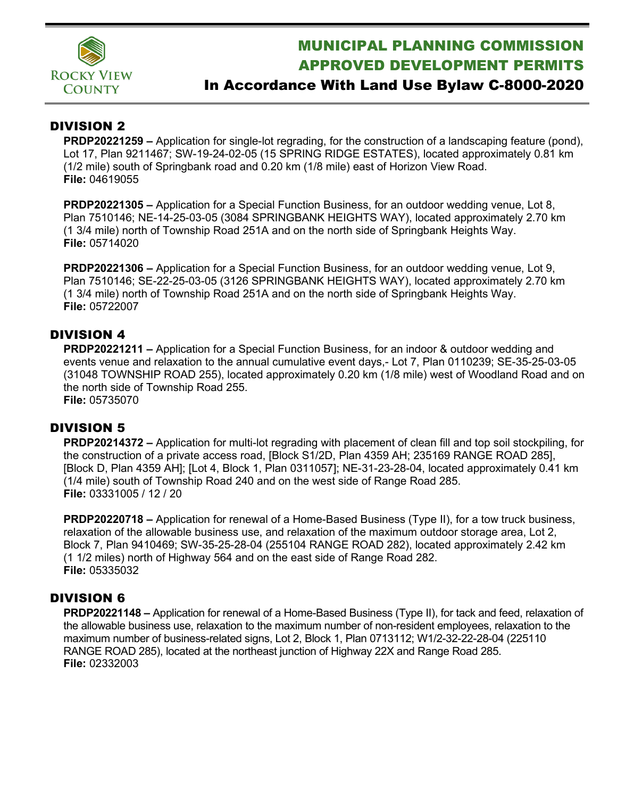

# MUNICIPAL PLANNING COMMISSION APPROVED DEVELOPMENT PERMITS

## In Accordance With Land Use Bylaw C-8000-2020

### DIVISION 2

**PRDP20221259 –** Application for single-lot regrading, for the construction of a landscaping feature (pond), Lot 17, Plan 9211467; SW-19-24-02-05 (15 SPRING RIDGE ESTATES), located approximately 0.81 km (1/2 mile) south of Springbank road and 0.20 km (1/8 mile) east of Horizon View Road. **File:** 04619055

**PRDP20221305 –** Application for a Special Function Business, for an outdoor wedding venue, Lot 8, Plan 7510146; NE-14-25-03-05 (3084 SPRINGBANK HEIGHTS WAY), located approximately 2.70 km (1 3/4 mile) north of Township Road 251A and on the north side of Springbank Heights Way. **File:** 05714020

**PRDP20221306 –** Application for a Special Function Business, for an outdoor wedding venue, Lot 9, Plan 7510146; SE-22-25-03-05 (3126 SPRINGBANK HEIGHTS WAY), located approximately 2.70 km (1 3/4 mile) north of Township Road 251A and on the north side of Springbank Heights Way. **File:** 05722007

### DIVISION 4

**PRDP20221211 –** Application for a Special Function Business, for an indoor & outdoor wedding and events venue and relaxation to the annual cumulative event days,- Lot 7, Plan 0110239; SE-35-25-03-05 (31048 TOWNSHIP ROAD 255), located approximately 0.20 km (1/8 mile) west of Woodland Road and on the north side of Township Road 255.

**File:** 05735070

### DIVISION 5

**PRDP20214372 –** Application for multi-lot regrading with placement of clean fill and top soil stockpiling, for the construction of a private access road, [Block S1/2D, Plan 4359 AH; 235169 RANGE ROAD 285], [Block D, Plan 4359 AH]; [Lot 4, Block 1, Plan 0311057]; NE-31-23-28-04, located approximately 0.41 km (1/4 mile) south of Township Road 240 and on the west side of Range Road 285. **File:** 03331005 / 12 / 20

**PRDP20220718 –** Application for renewal of a Home-Based Business (Type II), for a tow truck business, relaxation of the allowable business use, and relaxation of the maximum outdoor storage area, Lot 2, Block 7, Plan 9410469; SW-35-25-28-04 (255104 RANGE ROAD 282), located approximately 2.42 km (1 1/2 miles) north of Highway 564 and on the east side of Range Road 282. **File:** 05335032

#### DIVISION 6

**PRDP20221148 –** Application for renewal of a Home-Based Business (Type II), for tack and feed, relaxation of the allowable business use, relaxation to the maximum number of non-resident employees, relaxation to the maximum number of business-related signs, Lot 2, Block 1, Plan 0713112; W1/2-32-22-28-04 (225110 RANGE ROAD 285), located at the northeast junction of Highway 22X and Range Road 285. **File:** 02332003